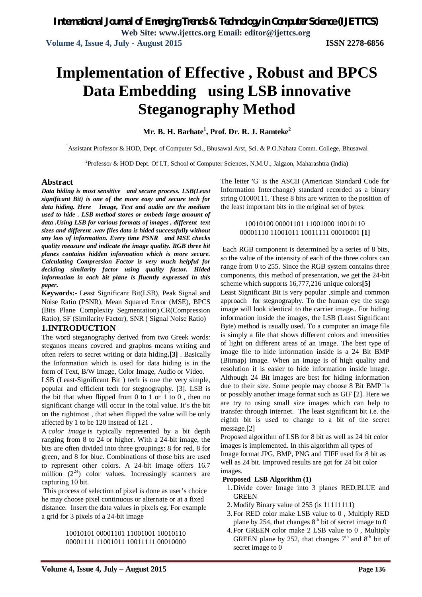# **Implementation of Effective , Robust and BPCS Data Embedding using LSB innovative Steganography Method**

**Mr. B. H. Barhate<sup>1</sup> , Prof. Dr. R. J. Ramteke<sup>2</sup>**

<sup>1</sup>Assistant Professor & HOD, Dept. of Computer Sci., Bhusawal Arst, Sci. & P.O.Nahata Comm. College, Bhusawal

<sup>2</sup>Professor & HOD Dept. Of I.T, School of Computer Sciences, N.M.U., Jalgaon, Maharashtra (India)

### **Abstract**

*Data hiding is most sensitive and secure process. LSB(Least significant Bit) is one of the more easy and secure tech for data hiding. Here Image, Text and audio are the medium used to hide . LSB method stores or embeds large amount of data .Using LSB for various formats of images , different text sizes and different .wav files data is hided successfully without any loss of information. Every time PSNR and MSE checks quality measure and indicate the image quality. RGB three bit planes contains hidden information which is more secure. Calculating Compression Factor is very much helpful for deciding similarity factor using quality factor. Hided information in each bit plane is fluently expressed in this paper.* 

**Keywords:-** Least Significant Bit(LSB), Peak Signal and Noise Ratio (PSNR), Mean Squared Error (MSE), BPCS (Bits Plane Complexity Segmentation).CR(Compression Ratio), SF (Similarity Factor), SNR ( Signal Noise Ratio)

## **1.INTRODUCTION**

The word steganography derived from two Greek words: steganos means covered and graphos means writing and often refers to secret writing or data hiding**.[3]** . Basically the Information which is used for data hiding is in the form of Text, B/W Image, Color Image, Audio or Video.

LSB (Least-Significant Bit ) tech is one the very simple, popular and efficient tech for stegnography. [3]. LSB is the bit that when flipped from 0 to 1 or 1 to 0 , then no significant change will occur in the total value. It's the bit on the rightmost , that when flipped the value will be only affected by 1 to be 120 instead of 121 .

A *color image* is typically represented by a bit depth ranging from 8 to 24 or higher. With a 24-bit image, th**e** bits are often divided into three groupings: 8 for red, 8 for green, and 8 for blue. Combinations of those bits are used to represent other colors. A 24-bit image offers 16.7 million  $(2^{24})$  color values. Increasingly scanners are capturing 10 bit.

This process of selection of pixel is done as user's choice he may choose pixel continuous or alternate or at a fixed distance. Insert the data values in pixels eg. For example a grid for 3 pixels of a 24-bit image

> 10010101 00001101 11001001 10010110 00001111 11001011 10011111 00010000

The letter 'G' is the ASCII (American Standard Code for Information Interchange) standard recorded as a binary string 01000111. These 8 bits are written to the position of the least important bits in the original set of bytes:

#### 10010100 00001101 11001000 10010110 00001110 11001011 10011111 00010001 **[1]**

Each RGB component is determined by a series of 8 bits, so the value of the intensity of each of the three colors can range from 0 to 255. Since the RGB system contains three components, this method of presentation, we get the 24-bit scheme which supports 16,777,216 unique colors**[5]**

Least Significant Bit is very popular ,simple and common approach for stegnography. To the human eye the stego image will look identical to the carrier image.. For hiding information inside the images, the LSB (Least Significant Byte) method is usually used. To a computer an image file is simply a file that shows different colors and intensities of light on different areas of an image. The best type of image file to hide information inside is a 24 Bit BMP (Bitmap) image. When an image is of high quality and resolution it is easier to hide information inside image. Although 24 Bit images are best for hiding information due to their size. Some people may choose 8 Bit  $BMP \square s$ or possibly another image format such as GIF [2]. Here we are try to using small size images which can help to transfer through internet. The least significant bit i.e. the eighth bit is used to change to a bit of the secret message.[2]

Proposed algorithm of LSB for 8 bit as well as 24 bit color images is implemented. In this algorithm all types of Image format JPG, BMP, PNG and TIFF used for 8 bit as well as 24 bit. Improved results are got for 24 bit color images.

#### **Proposed LSB Algorithm (1)**

- 1.Divide cover Image into 3 planes RED,BLUE and **GREEN**
- 2.Modify Binary value of 255 (is 11111111)
- 3.For RED color make LSB value to 0 , Multiply RED plane by 254, that changes  $8<sup>th</sup>$  bit of secret image to 0
- 4.For GREEN color make 2 LSB value to 0 , Multiply GREEN plane by 252, that changes  $7<sup>th</sup>$  and  $8<sup>th</sup>$  bit of secret image to 0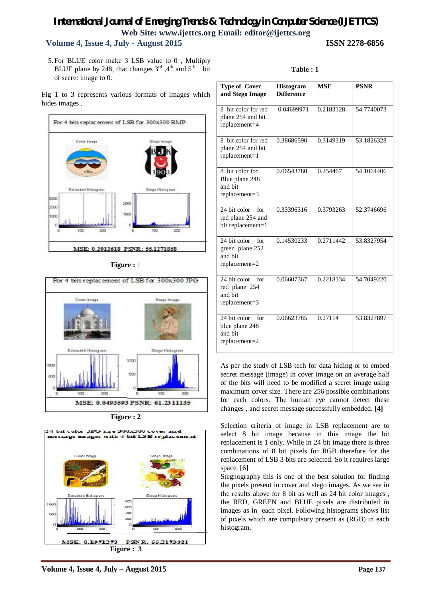# *International Journal of Emerging Trends & Technology in Computer Science (IJETTCS)* **Web Site: www.ijettcs.org Email: editor@ijettcs.org**

# **Volume 4, Issue 4, July - August 2015 ISSN 2278-6856**

5.For BLUE color make 3 LSB value to 0 , Multiply BLUE plane by 248, that changes  $3<sup>rd</sup>$ ,  $4<sup>th</sup>$  and  $5<sup>th</sup>$  bit of secret image to 0.

Fig 1 to 3 represents various formats of images which hides images .



#### **Figure :** 1



**Figure : 2**



| <b>Type of Cover</b><br>and Stego Image                                | <b>Histogram</b><br><b>Difference</b> | <b>MSE</b> | <b>PSNR</b> |
|------------------------------------------------------------------------|---------------------------------------|------------|-------------|
| 8 bit color for red<br>plane 254 and bit<br>replacement=4              | 0.04699971                            | 0.2183128  | 54.7740073  |
| 8 bit color for red<br>plane 254 and bit<br>replacement=1              | 0.38686590                            | 0.3149319  | 53.1826328  |
| 8 bit color for<br>Blue plane 248<br>and bit<br>replacement=3          | 0.06543780                            | 0.254467   | 54.1064406  |
| 24 bit color<br>for<br>red plane 254 and<br>bit replacement=1          | 0.33396316                            | 0.3793263  | 52.3746696  |
| 24 bit color<br>for<br>green plane 252<br>and bit<br>$replacement = 2$ | 0.14530233                            | 0.2711442  | 53.8327954  |
| 24 bit color<br>for<br>red plane 254<br>and bit<br>$replacement = 3$   | 0.06607367                            | 0.2218134  | 54.7049220  |
| 24 bit color<br>for<br>blue plane 248<br>and bit<br>$replacement = 2$  | 0.06623785                            | 0.27114    | 53.8327897  |

**Table : 1**

As per the study of LSB tech for data hiding or to embed secret message (image) in cover image on an average half of the bits will need to be modified a secret image using maximum cover size. There are 256 possible combinations for each colors. The human eye cannot detect these changes , and secret message successfully embedded. **[4]**

Selection criteria of image in LSB replacement are to select 8 bit image because in this image the bit replacement is 1 only. While in 24 bit image there is three combinations of 8 bit pixels for RGB therefore for the replacement of LSB 3 bits are selected. So it requires large space. [6]

Stegnography this is one of the best solution for finding the pixels present in cover and stego images. As we see in the results above for 8 bit as well as 24 bit color images , the RED, GREEN and BLUE pixels are distributed in images as in each pixel. Following histograms shows list of pixels which are compulsory present as (RGB) in each histogram.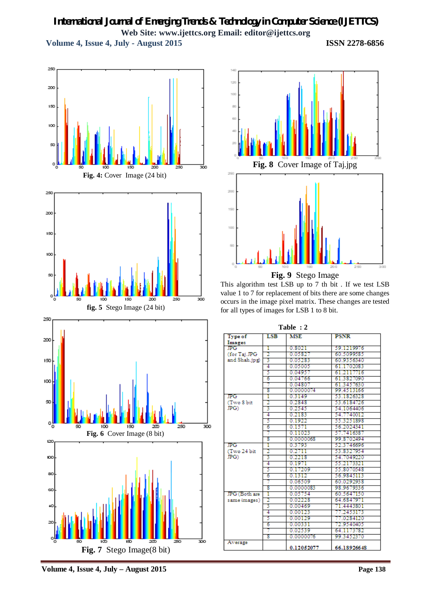# *International Journal of Emerging Trends & Technology in Computer Science (IJETTCS)* **Web Site: www.ijettcs.org Email: editor@ijettcs.org Volume 4, Issue 4, July - August 2015 ISSN 2278-6856**





This algorithm test LSB up to 7 th bit . If we test LSB value 1 to 7 for replacement of bits there are some changes occurs in the image pixel matrix. These changes are tested for all types of images for LSB 1 to 8 bit.

| Table : 2        |     |            |              |  |  |
|------------------|-----|------------|--------------|--|--|
| <b>Type of</b>   | LSB | <b>MSE</b> | <b>PSNR</b>  |  |  |
| Images           |     |            |              |  |  |
| JPG.             | T   | 0.8021     | 59.1219976   |  |  |
| (for Taj.JPG     | 2   | 0.05827    | 60.5099585   |  |  |
| and Shah.jpg)    | 3   | 0.05283    | 60.9356340   |  |  |
|                  | 4   | 0.05005    | 61 1702083   |  |  |
|                  | 5   | 0.04957    | 61 21 1771 6 |  |  |
|                  | 6   | 0.04766    | 61.3827090   |  |  |
|                  | 7   | 0.04807    | 61.3457630   |  |  |
|                  | s   | 0.0000074  | 99.4513166   |  |  |
| JPG.             | T   | 0.3149     | 53.1826328   |  |  |
| (Two 8 bit       | 2   | 0.2848     | 53.6184726   |  |  |
| $_{\rm IPG}$     | 3   | 0.2545     | 54.1064406   |  |  |
|                  | 4   | 0.2183     | 54.7740012   |  |  |
|                  | 5   | 0.1922     | 55.3251898   |  |  |
|                  | ъ   | 0.1571     | 56.2024341   |  |  |
|                  | 7   | 0.11023    | 57.7416387   |  |  |
|                  | 8   | 0.0000068  | 99.8702494   |  |  |
| JPG <sup>-</sup> | T   | 0.3793     | 52.3746696   |  |  |
| (Two 24 bit      | 2   | 0.2711     | 53.8327954   |  |  |
| $_{\rm IPG}$     | 3   | 0.2218     | 54.7049220   |  |  |
|                  | 4   | 0.1971     | 55.2173321   |  |  |
|                  | 5   | 0.17209    | 55.8070548   |  |  |
|                  | 6   | 0.1312     | 56.9845113   |  |  |
|                  | 7   | 0.06509    | 60.0292938   |  |  |
|                  | s   | 0.0000083  | 98.9679336   |  |  |
| JPG (Both are    | T   | 0.05754    | 60.5647150   |  |  |
| same images)     | 2   | 0.02228    | 64.6847971   |  |  |
|                  | 3   | 0.00469    | 71.4443801   |  |  |
|                  | 4   | 0.00123    | 77.2453173   |  |  |
|                  | 5   | 0.00129    | 77.0284120   |  |  |
|                  | 6   | 0.00331    | 72.9540405   |  |  |
|                  | 7   | 0.02539    | 64.1173782   |  |  |
|                  | s   | 0.0000076  | 99.3452370   |  |  |
| Average          |     | 0.12052077 | 66.18926648  |  |  |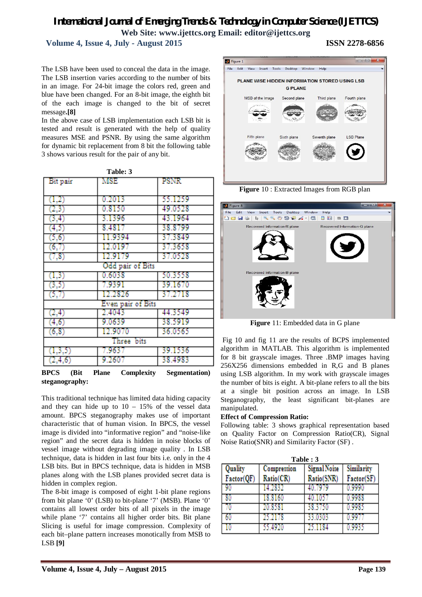# *International Journal of Emerging Trends & Technology in Computer Science (IJETTCS)* **Web Site: www.ijettcs.org Email: editor@ijettcs.org**

 **Volume 4, Issue 4, July - August 2015 ISSN 2278-6856**

The LSB have been used to conceal the data in the image. The LSB insertion varies according to the number of bits in an image. For 24-bit image the colors red, green and blue have been changed. For an 8-bit image, the eighth bit of the each image is changed to the bit of secret message**.[8]**

In the above case of LSB implementation each LSB bit is tested and result is generated with the help of quality measures MSE and PSNR. By using the same algorithm for dynamic bit replacement from 8 bit the following table 3 shows various result for the pair of any bit.

| Bit pair          | MSE     | PSNR    |  |  |  |
|-------------------|---------|---------|--|--|--|
| (1,2)             | 0.2013  | 55.1259 |  |  |  |
| (2,3)             | 0.8150  | 49.0528 |  |  |  |
| (3,4)             | 3.1396  | 43.1964 |  |  |  |
| (4,5)             | 8.4817  | 38.8799 |  |  |  |
| (5,6)             | 11.9394 | 37.3849 |  |  |  |
| (6,7)             | 12.0197 | 37.3658 |  |  |  |
| (7,8)             | 12.9179 | 37.0528 |  |  |  |
| Odd pair of Bits  |         |         |  |  |  |
| (1,3)             | 0.6038  | 50.3558 |  |  |  |
| (3,5)             | 7.9391  | 39.1670 |  |  |  |
| (5,7)             | 12.2826 | 37.2718 |  |  |  |
| Even pair of Bits |         |         |  |  |  |
| (2,4)             | 2.4043  | 44.3549 |  |  |  |
| (4,6)             | 9.0639  | 38.5919 |  |  |  |
| (6, 8)            | 12.9070 | 36.0565 |  |  |  |
| Three bits        |         |         |  |  |  |
| (1,3,5)           | 7.9637  | 39.1536 |  |  |  |
| (2,4,6)           | 9.2607  | 38.4983 |  |  |  |

**Table: 3**

**BPCS (Bit Plane Complexity Segmentation) steganography:**

This traditional technique has limited data hiding capacity and they can hide up to  $10 - 15%$  of the vessel data amount. BPCS steganography makes use of important characteristic that of human vision. In BPCS, the vessel image is divided into "informative region" and "noise-like region" and the secret data is hidden in noise blocks of vessel image without degrading image quality . In LSB technique, data is hidden in last four bits i.e. only in the 4 LSB bits. But in BPCS technique, data is hidden in MSB planes along with the LSB planes provided secret data is hidden in complex region.

The 8-bit image is composed of eight 1-bit plane regions from bit plane '0' (LSB) to bit-plane '7' (MSB). Plane '0' contains all lowest order bits of all pixels in the image while plane '7' contains all higher order bits. Bit plane Slicing is useful for image compression. Complexity of each bit–plane pattern increases monotically from MSB to LSB **[9]**



**Figure** 10 : Extracted Images from RGB plan



**Figure** 11: Embedded data in G plane

Fig 10 and fig 11 are the results of BCPS implemented algorithm in MATLAB. This algorithm is implemented for 8 bit grayscale images. Three .BMP images having 256X256 dimensions embedded in R,G and B planes using LSB algorithm. In my work with grayscale images the number of bits is eight. A bit-plane refers to all the bits at a single bit position across an image. In LSB Steganography, the least significant bit-planes are manipulated.

#### **Effect of Compression Ratio:**

Following table: 3 shows graphical representation based on Quality Factor on Compression Ratio(CR), Signal Noise Ratio(SNR) and Similarity Factor (SF) .

| Table: 3   |             |                     |            |  |  |  |
|------------|-------------|---------------------|------------|--|--|--|
| Quality    | Compression | <b>Signal Noise</b> | Similarity |  |  |  |
| Factor(QF) | Ratio(CR)   | Ratio(SNR)          | Factor(SF) |  |  |  |
|            | 14.2832     | 40.7979             | 0.9990     |  |  |  |
|            | 18.8160     | 40.1057             | 0.9988     |  |  |  |
|            | 20.8581     | 38.3750             | 0.9985     |  |  |  |
|            | 25.2178     | 33.0303             | 0.997      |  |  |  |
|            | 55.4920     | 25.1184             | 0.9935     |  |  |  |